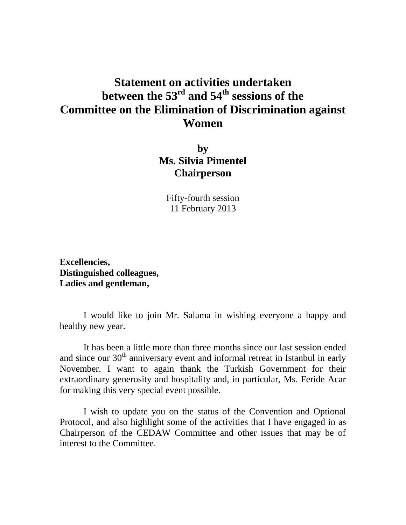## **Statement on activities undertaken between the 53rd and 54th sessions of the Committee on the Elimination of Discrimination against Women**

**by Ms. Silvia Pimentel Chairperson**

Fifty-fourth session 11 February 2013

**Excellencies, Distinguished colleagues, Ladies and gentleman,**

 I would like to join Mr. Salama in wishing everyone a happy and healthy new year.

 It has been a little more than three months since our last session ended and since our  $30<sup>th</sup>$  anniversary event and informal retreat in Istanbul in early November. I want to again thank the Turkish Government for their extraordinary generosity and hospitality and, in particular, Ms. Feride Acar for making this very special event possible.

I wish to update you on the status of the Convention and Optional Protocol, and also highlight some of the activities that I have engaged in as Chairperson of the CEDAW Committee and other issues that may be of interest to the Committee.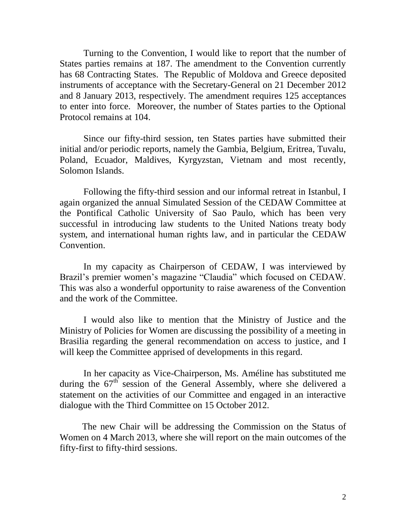Turning to the Convention, I would like to report that the number of States parties remains at 187. The amendment to the Convention currently has 68 Contracting States. The Republic of Moldova and Greece deposited instruments of acceptance with the Secretary-General on 21 December 2012 and 8 January 2013, respectively. The amendment requires 125 acceptances to enter into force. Moreover, the number of States parties to the Optional Protocol remains at 104.

Since our fifty-third session, ten States parties have submitted their initial and/or periodic reports, namely the Gambia, Belgium, Eritrea, Tuvalu, Poland, Ecuador, Maldives, Kyrgyzstan, Vietnam and most recently, Solomon Islands.

Following the fifty-third session and our informal retreat in Istanbul, I again organized the annual Simulated Session of the CEDAW Committee at the Pontifical Catholic University of Sao Paulo, which has been very successful in introducing law students to the United Nations treaty body system, and international human rights law, and in particular the CEDAW Convention.

In my capacity as Chairperson of CEDAW, I was interviewed by Brazil's premier women's magazine "Claudia" which focused on CEDAW. This was also a wonderful opportunity to raise awareness of the Convention and the work of the Committee.

I would also like to mention that the Ministry of Justice and the Ministry of Policies for Women are discussing the possibility of a meeting in Brasilia regarding the general recommendation on access to justice, and I will keep the Committee apprised of developments in this regard.

In her capacity as Vice-Chairperson, Ms. Améline has substituted me during the  $67<sup>th</sup>$  session of the General Assembly, where she delivered a statement on the activities of our Committee and engaged in an interactive dialogue with the Third Committee on 15 October 2012.

The new Chair will be addressing the Commission on the Status of Women on 4 March 2013, where she will report on the main outcomes of the fifty-first to fifty-third sessions.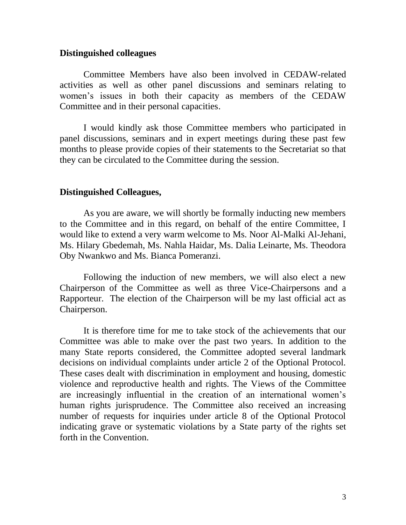## **Distinguished colleagues**

Committee Members have also been involved in CEDAW-related activities as well as other panel discussions and seminars relating to women's issues in both their capacity as members of the CEDAW Committee and in their personal capacities.

 I would kindly ask those Committee members who participated in panel discussions, seminars and in expert meetings during these past few months to please provide copies of their statements to the Secretariat so that they can be circulated to the Committee during the session.

## **Distinguished Colleagues,**

As you are aware, we will shortly be formally inducting new members to the Committee and in this regard, on behalf of the entire Committee, I would like to extend a very warm welcome to Ms. Noor Al-Malki Al-Jehani, Ms. Hilary Gbedemah, Ms. Nahla Haidar, Ms. Dalia Leinarte, Ms. Theodora Oby Nwankwo and Ms. Bianca Pomeranzi.

Following the induction of new members, we will also elect a new Chairperson of the Committee as well as three Vice-Chairpersons and a Rapporteur. The election of the Chairperson will be my last official act as Chairperson.

It is therefore time for me to take stock of the achievements that our Committee was able to make over the past two years. In addition to the many State reports considered, the Committee adopted several landmark decisions on individual complaints under article 2 of the Optional Protocol. These cases dealt with discrimination in employment and housing, domestic violence and reproductive health and rights. The Views of the Committee are increasingly influential in the creation of an international women's human rights jurisprudence. The Committee also received an increasing number of requests for inquiries under article 8 of the Optional Protocol indicating grave or systematic violations by a State party of the rights set forth in the Convention.